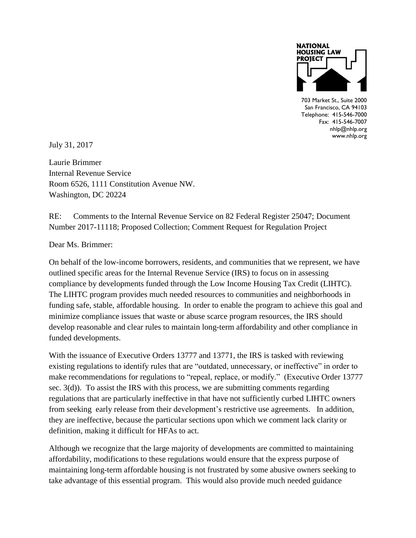

703 Market St., Suite 2000 San Francisco, CA 94103 an Francisco, CA 94103<br>Telephone: 415-546-7000  $Fax: 415-546-7007$ nhlp@nhlp.org nnip@nnip.org<br>www.nhlp.org You can position the

July 31, 2017

Laurie Brimmer Internal Revenue Service Room 6526, 1111 Constitution Avenue NW. Washington, DC 20224

RE: Comments to the Internal Revenue Service on 82 Federal Register 25047; Document Number 2017-11118; Proposed Collection; Comment Request for Regulation Project

Dear Ms. Brimmer:

On behalf of the low-income borrowers, residents, and communities that we represent, we have outlined specific areas for the Internal Revenue Service (IRS) to focus on in assessing compliance by developments funded through the Low Income Housing Tax Credit (LIHTC). The LIHTC program provides much needed resources to communities and neighborhoods in funding safe, stable, affordable housing. In order to enable the program to achieve this goal and minimize compliance issues that waste or abuse scarce program resources, the IRS should develop reasonable and clear rules to maintain long-term affordability and other compliance in funded developments.

With the issuance of Executive Orders 13777 and 13771, the IRS is tasked with reviewing existing regulations to identify rules that are "outdated, unnecessary, or ineffective" in order to make recommendations for regulations to "repeal, replace, or modify." (Executive Order 13777 sec. 3(d)). To assist the IRS with this process, we are submitting comments regarding regulations that are particularly ineffective in that have not sufficiently curbed LIHTC owners from seeking early release from their development's restrictive use agreements. In addition, they are ineffective, because the particular sections upon which we comment lack clarity or definition, making it difficult for HFAs to act.

Although we recognize that the large majority of developments are committed to maintaining affordability, modifications to these regulations would ensure that the express purpose of maintaining long-term affordable housing is not frustrated by some abusive owners seeking to take advantage of this essential program. This would also provide much needed guidance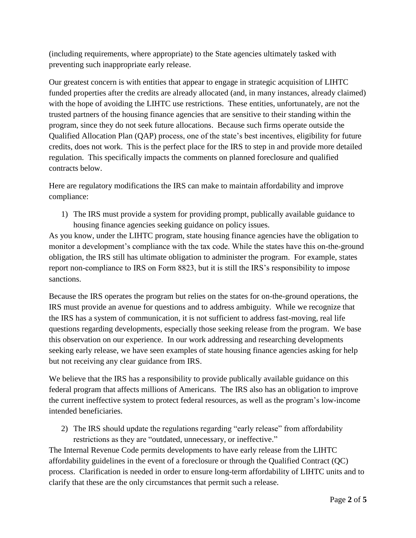(including requirements, where appropriate) to the State agencies ultimately tasked with preventing such inappropriate early release.

Our greatest concern is with entities that appear to engage in strategic acquisition of LIHTC funded properties after the credits are already allocated (and, in many instances, already claimed) with the hope of avoiding the LIHTC use restrictions. These entities, unfortunately, are not the trusted partners of the housing finance agencies that are sensitive to their standing within the program, since they do not seek future allocations. Because such firms operate outside the Qualified Allocation Plan (QAP) process, one of the state's best incentives, eligibility for future credits, does not work. This is the perfect place for the IRS to step in and provide more detailed regulation. This specifically impacts the comments on planned foreclosure and qualified contracts below.

Here are regulatory modifications the IRS can make to maintain affordability and improve compliance:

1) The IRS must provide a system for providing prompt, publically available guidance to housing finance agencies seeking guidance on policy issues.

As you know, under the LIHTC program, state housing finance agencies have the obligation to monitor a development's compliance with the tax code. While the states have this on-the-ground obligation, the IRS still has ultimate obligation to administer the program. For example, states report non-compliance to IRS on Form 8823, but it is still the IRS's responsibility to impose sanctions.

Because the IRS operates the program but relies on the states for on-the-ground operations, the IRS must provide an avenue for questions and to address ambiguity. While we recognize that the IRS has a system of communication, it is not sufficient to address fast-moving, real life questions regarding developments, especially those seeking release from the program. We base this observation on our experience. In our work addressing and researching developments seeking early release, we have seen examples of state housing finance agencies asking for help but not receiving any clear guidance from IRS.

We believe that the IRS has a responsibility to provide publically available guidance on this federal program that affects millions of Americans. The IRS also has an obligation to improve the current ineffective system to protect federal resources, as well as the program's low-income intended beneficiaries.

2) The IRS should update the regulations regarding "early release" from affordability restrictions as they are "outdated, unnecessary, or ineffective."

The Internal Revenue Code permits developments to have early release from the LIHTC affordability guidelines in the event of a foreclosure or through the Qualified Contract (QC) process. Clarification is needed in order to ensure long-term affordability of LIHTC units and to clarify that these are the only circumstances that permit such a release.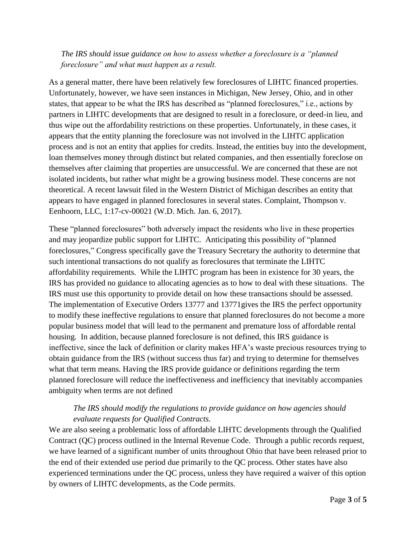## *The IRS should issue guidance on how to assess whether a foreclosure is a "planned foreclosure" and what must happen as a result.*

As a general matter, there have been relatively few foreclosures of LIHTC financed properties. Unfortunately, however, we have seen instances in Michigan, New Jersey, Ohio, and in other states, that appear to be what the IRS has described as "planned foreclosures," i.e., actions by partners in LIHTC developments that are designed to result in a foreclosure, or deed-in lieu, and thus wipe out the affordability restrictions on these properties. Unfortunately, in these cases, it appears that the entity planning the foreclosure was not involved in the LIHTC application process and is not an entity that applies for credits. Instead, the entities buy into the development, loan themselves money through distinct but related companies, and then essentially foreclose on themselves after claiming that properties are unsuccessful. We are concerned that these are not isolated incidents, but rather what might be a growing business model. These concerns are not theoretical. A recent lawsuit filed in the Western District of Michigan describes an entity that appears to have engaged in planned foreclosures in several states. Complaint, Thompson v. Eenhoorn, LLC, 1:17-cv-00021 (W.D. Mich. Jan. 6, 2017).

These "planned foreclosures" both adversely impact the residents who live in these properties and may jeopardize public support for LIHTC. Anticipating this possibility of "planned foreclosures," Congress specifically gave the Treasury Secretary the authority to determine that such intentional transactions do not qualify as foreclosures that terminate the LIHTC affordability requirements. While the LIHTC program has been in existence for 30 years, the IRS has provided no guidance to allocating agencies as to how to deal with these situations. The IRS must use this opportunity to provide detail on how these transactions should be assessed. The implementation of Executive Orders 13777 and 13771gives the IRS the perfect opportunity to modify these ineffective regulations to ensure that planned foreclosures do not become a more popular business model that will lead to the permanent and premature loss of affordable rental housing. In addition, because planned foreclosure is not defined, this IRS guidance is ineffective, since the lack of definition or clarity makes HFA's waste precious resources trying to obtain guidance from the IRS (without success thus far) and trying to determine for themselves what that term means. Having the IRS provide guidance or definitions regarding the term planned foreclosure will reduce the ineffectiveness and inefficiency that inevitably accompanies ambiguity when terms are not defined

## *The IRS should modify the regulations to provide guidance on how agencies should evaluate requests for Qualified Contracts.*

We are also seeing a problematic loss of affordable LIHTC developments through the Qualified Contract (QC) process outlined in the Internal Revenue Code. Through a public records request, we have learned of a significant number of units throughout Ohio that have been released prior to the end of their extended use period due primarily to the QC process. Other states have also experienced terminations under the QC process, unless they have required a waiver of this option by owners of LIHTC developments, as the Code permits.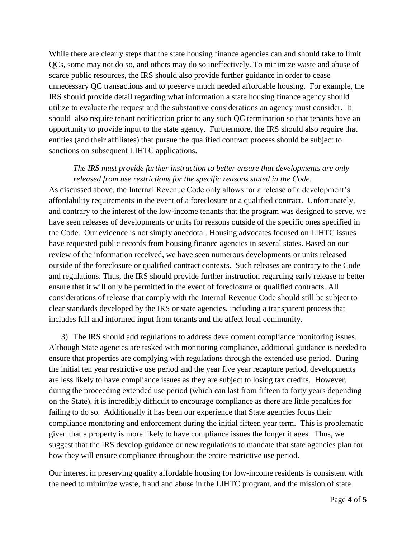While there are clearly steps that the state housing finance agencies can and should take to limit QCs, some may not do so, and others may do so ineffectively. To minimize waste and abuse of scarce public resources, the IRS should also provide further guidance in order to cease unnecessary QC transactions and to preserve much needed affordable housing. For example, the IRS should provide detail regarding what information a state housing finance agency should utilize to evaluate the request and the substantive considerations an agency must consider. It should also require tenant notification prior to any such QC termination so that tenants have an opportunity to provide input to the state agency. Furthermore, the IRS should also require that entities (and their affiliates) that pursue the qualified contract process should be subject to sanctions on subsequent LIHTC applications.

## *The IRS must provide further instruction to better ensure that developments are only released from use restrictions for the specific reasons stated in the Code.*

As discussed above, the Internal Revenue Code only allows for a release of a development's affordability requirements in the event of a foreclosure or a qualified contract. Unfortunately, and contrary to the interest of the low-income tenants that the program was designed to serve, we have seen releases of developments or units for reasons outside of the specific ones specified in the Code. Our evidence is not simply anecdotal. Housing advocates focused on LIHTC issues have requested public records from housing finance agencies in several states. Based on our review of the information received, we have seen numerous developments or units released outside of the foreclosure or qualified contract contexts. Such releases are contrary to the Code and regulations. Thus, the IRS should provide further instruction regarding early release to better ensure that it will only be permitted in the event of foreclosure or qualified contracts. All considerations of release that comply with the Internal Revenue Code should still be subject to clear standards developed by the IRS or state agencies, including a transparent process that includes full and informed input from tenants and the affect local community.

3) The IRS should add regulations to address development compliance monitoring issues. Although State agencies are tasked with monitoring compliance, additional guidance is needed to ensure that properties are complying with regulations through the extended use period. During the initial ten year restrictive use period and the year five year recapture period, developments are less likely to have compliance issues as they are subject to losing tax credits. However, during the proceeding extended use period (which can last from fifteen to forty years depending on the State), it is incredibly difficult to encourage compliance as there are little penalties for failing to do so. Additionally it has been our experience that State agencies focus their compliance monitoring and enforcement during the initial fifteen year term. This is problematic given that a property is more likely to have compliance issues the longer it ages. Thus, we suggest that the IRS develop guidance or new regulations to mandate that state agencies plan for how they will ensure compliance throughout the entire restrictive use period.

Our interest in preserving quality affordable housing for low-income residents is consistent with the need to minimize waste, fraud and abuse in the LIHTC program, and the mission of state